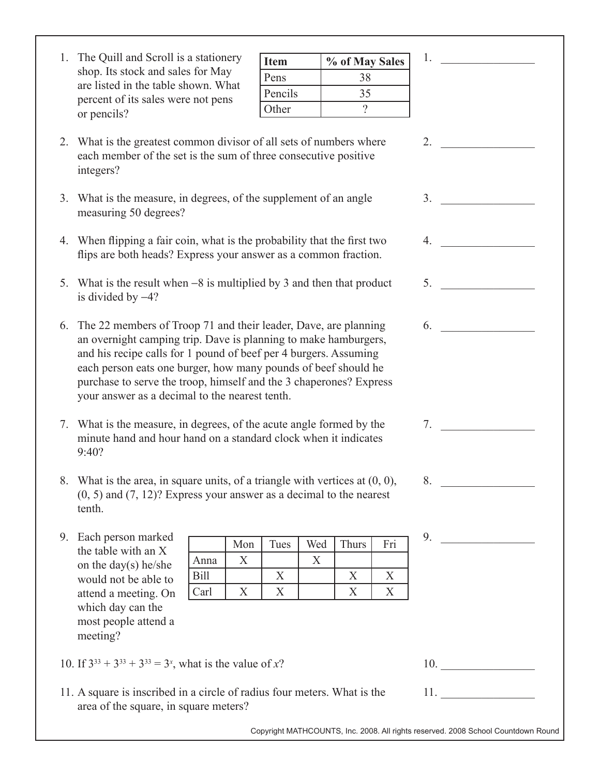| 1. The Quill and Scroll is a stationery |
|-----------------------------------------|
| shop. Its stock and sales for May       |
| are listed in the table shown. What     |
| percent of its sales were not pens      |
| or pencils?                             |

| <b>Item</b> | % of May Sales |
|-------------|----------------|
| Pens        | 38             |
| Pencils     | 35             |
| Other       |                |

1.  $\blacksquare$ 

|                                           | 2. $\qquad \qquad$                      |
|-------------------------------------------|-----------------------------------------|
|                                           | 3.                                      |
|                                           | 4.                                      |
| t                                         | 5.                                      |
|                                           | 6.                                      |
| S                                         |                                         |
|                                           | 7.                                      |
| ),                                        | 8.                                      |
| ri<br>$\frac{\overline{X}}{\overline{X}}$ | 9.<br>and the company of the company of |
|                                           |                                         |
|                                           | 10.                                     |
|                                           | 11.                                     |
|                                           |                                         |

| 2. What is the greatest common divisor of all sets of numbers where |
|---------------------------------------------------------------------|
| each member of the set is the sum of three consecutive positive     |
| integers?                                                           |

- 3. What is the measure, in degrees, of the supplement of an angle measuring 50 degrees?
- 4. When flipping a fair coin, what is the probability that the first two flips are both heads? Express your answer as a common fraction.
- 5. What is the result when  $-8$  is multiplied by 3 and then that product is divided by  $-4$ ?
- 6. The 22 members of Troop 71 and their leader, Dave, are planning an overnight camping trip. Dave is planning to make hamburgers, and his recipe calls for 1 pound of beef per 4 burgers. Assuming each person eats one burger, how many pounds of beef should he purchase to serve the troop, himself and the 3 chaperones? Express your answer as a decimal to the nearest tenth.
- 7. What is the measure, in degrees, of the acute angle formed by the minute hand and hour hand on a standard clock when it indicates 9:40?
- 8. What is the area, in square units, of a triangle with vertices at  $(0, 0)$ (0, 5) and (7, 12)? Express your answer as a decimal to the nearest tenth.
- 9. Each person marked the table with an X on the day(s) he/she would not be able to attend a meeting. On which day can the most people attend a meeting?

|             | Mon | Tues | Wed | Thurs | Fri |
|-------------|-----|------|-----|-------|-----|
| Anna        |     |      |     |       |     |
| <b>Bill</b> |     |      |     |       |     |
| Carl        |     |      |     |       |     |

- 10. If  $3^{33} + 3^{33} + 3^{33} = 3^x$ , what is the value of x?
- 11. A square is inscribed in a circle of radius four meters. What is the area of the square, in square meters?

Copyright MATHCOUNTS, Inc. 2008. All rights reserved. 2008 School Countdown Round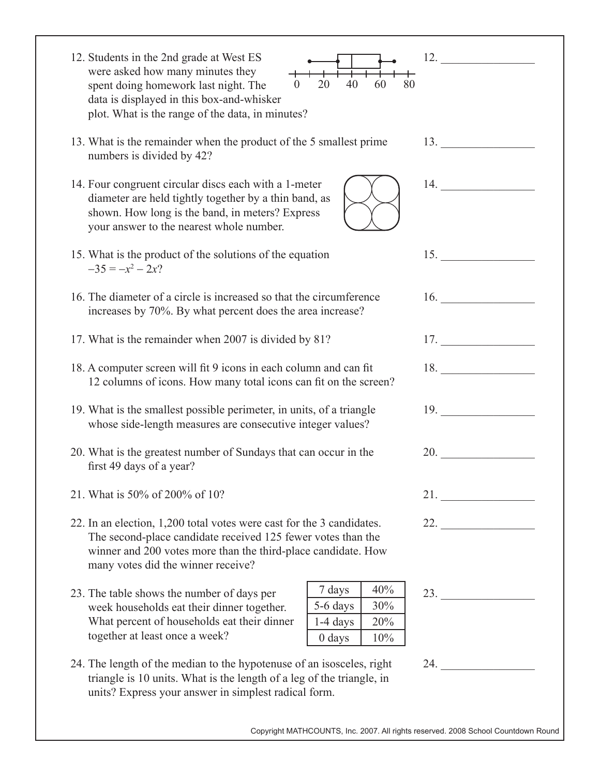| 12. Students in the 2nd grade at West ES<br>were asked how many minutes they<br>20<br>40<br>60<br>80<br>spent doing homework last night. The<br>$\overline{0}$<br>data is displayed in this box-and-whisker<br>plot. What is the range of the data, in minutes? | 12.                        |
|-----------------------------------------------------------------------------------------------------------------------------------------------------------------------------------------------------------------------------------------------------------------|----------------------------|
| 13. What is the remainder when the product of the 5 smallest prime<br>numbers is divided by 42?                                                                                                                                                                 | 13.                        |
| 14. Four congruent circular discs each with a 1-meter<br>diameter are held tightly together by a thin band, as<br>shown. How long is the band, in meters? Express<br>your answer to the nearest whole number.                                                   | 14.                        |
| 15. What is the product of the solutions of the equation<br>$-35 = -x^2 - 2x?$                                                                                                                                                                                  | 15. $\qquad \qquad \qquad$ |
| 16. The diameter of a circle is increased so that the circumference<br>increases by 70%. By what percent does the area increase?                                                                                                                                | 16.                        |
| 17. What is the remainder when 2007 is divided by 81?                                                                                                                                                                                                           | 17.                        |
| 18. A computer screen will fit 9 icons in each column and can fit<br>12 columns of icons. How many total icons can fit on the screen?                                                                                                                           | 18. $\qquad \qquad$        |
| 19. What is the smallest possible perimeter, in units, of a triangle<br>whose side-length measures are consecutive integer values?                                                                                                                              | 19.                        |
| 20. What is the greatest number of Sundays that can occur in the<br>first 49 days of a year?                                                                                                                                                                    | 20.                        |
| 21. What is 50% of 200% of 10?                                                                                                                                                                                                                                  |                            |
| 22. In an election, 1,200 total votes were cast for the 3 candidates.<br>The second-place candidate received 125 fewer votes than the<br>winner and 200 votes more than the third-place candidate. How<br>many votes did the winner receive?                    | 22.                        |
| 40%<br>7 days<br>23. The table shows the number of days per<br>5-6 days<br>30%<br>week households eat their dinner together.<br>What percent of households eat their dinner<br>1-4 days<br>20%<br>together at least once a week?<br>10%<br>$0$ days             | 23.                        |
| 24. The length of the median to the hypotenuse of an isosceles, right<br>triangle is 10 units. What is the length of a leg of the triangle, in<br>units? Express your answer in simplest radical form.                                                          | 24.                        |

Copyright MATHCOUNTS, Inc. 2007. All rights reserved. 2008 School Countdown Round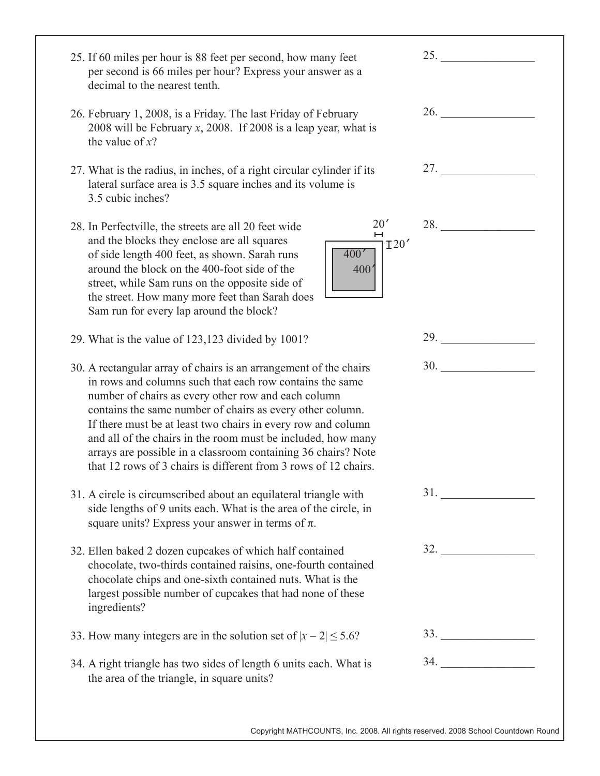| 25. If 60 miles per hour is 88 feet per second, how many feet<br>per second is 66 miles per hour? Express your answer as a<br>decimal to the nearest tenth.                                                                                                                                                                                                                                                                                                                                                           | 25. $\qquad \qquad$                                                                                                                                                                                                                 |
|-----------------------------------------------------------------------------------------------------------------------------------------------------------------------------------------------------------------------------------------------------------------------------------------------------------------------------------------------------------------------------------------------------------------------------------------------------------------------------------------------------------------------|-------------------------------------------------------------------------------------------------------------------------------------------------------------------------------------------------------------------------------------|
| 26. February 1, 2008, is a Friday. The last Friday of February<br>2008 will be February $x$ , 2008. If 2008 is a leap year, what is<br>the value of $x$ ?                                                                                                                                                                                                                                                                                                                                                             | <b>26.</b> The contract of the contract of the contract of the contract of the contract of the contract of the contract of the contract of the contract of the contract of the contract of the contract of the contract of the cont |
| 27. What is the radius, in inches, of a right circular cylinder if its<br>lateral surface area is 3.5 square inches and its volume is<br>3.5 cubic inches?                                                                                                                                                                                                                                                                                                                                                            | 27.                                                                                                                                                                                                                                 |
| 20'<br>28. In Perfectville, the streets are all 20 feet wide<br>Н<br>and the blocks they enclose are all squares<br>I20'<br>400'<br>of side length 400 feet, as shown. Sarah runs<br>around the block on the 400-foot side of the<br>400 <sup>4</sup><br>street, while Sam runs on the opposite side of<br>the street. How many more feet than Sarah does<br>Sam run for every lap around the block?                                                                                                                  | 28.                                                                                                                                                                                                                                 |
| 29. What is the value of 123,123 divided by 1001?                                                                                                                                                                                                                                                                                                                                                                                                                                                                     | 29.                                                                                                                                                                                                                                 |
| 30. A rectangular array of chairs is an arrangement of the chairs<br>in rows and columns such that each row contains the same<br>number of chairs as every other row and each column<br>contains the same number of chairs as every other column.<br>If there must be at least two chairs in every row and column<br>and all of the chairs in the room must be included, how many<br>arrays are possible in a classroom containing 36 chairs? Note<br>that 12 rows of 3 chairs is different from 3 rows of 12 chairs. | <b>30.</b> The same state of $\sim$                                                                                                                                                                                                 |
| 31. A circle is circumscribed about an equilateral triangle with<br>side lengths of 9 units each. What is the area of the circle, in<br>square units? Express your answer in terms of $\pi$ .                                                                                                                                                                                                                                                                                                                         | 31.                                                                                                                                                                                                                                 |
| 32. Ellen baked 2 dozen cupcakes of which half contained<br>chocolate, two-thirds contained raisins, one-fourth contained<br>chocolate chips and one-sixth contained nuts. What is the<br>largest possible number of cupcakes that had none of these<br>ingredients?                                                                                                                                                                                                                                                  | $\begin{array}{c}\n 32. \ \end{array}$                                                                                                                                                                                              |
| 33. How many integers are in the solution set of $ x - 2  \le 5.6$ ?                                                                                                                                                                                                                                                                                                                                                                                                                                                  |                                                                                                                                                                                                                                     |
| 34. A right triangle has two sides of length 6 units each. What is<br>the area of the triangle, in square units?                                                                                                                                                                                                                                                                                                                                                                                                      | $34.$                                                                                                                                                                                                                               |
|                                                                                                                                                                                                                                                                                                                                                                                                                                                                                                                       |                                                                                                                                                                                                                                     |

Copyright MATHCOUNTS, Inc. 2008. All rights reserved. 2008 School Countdown Round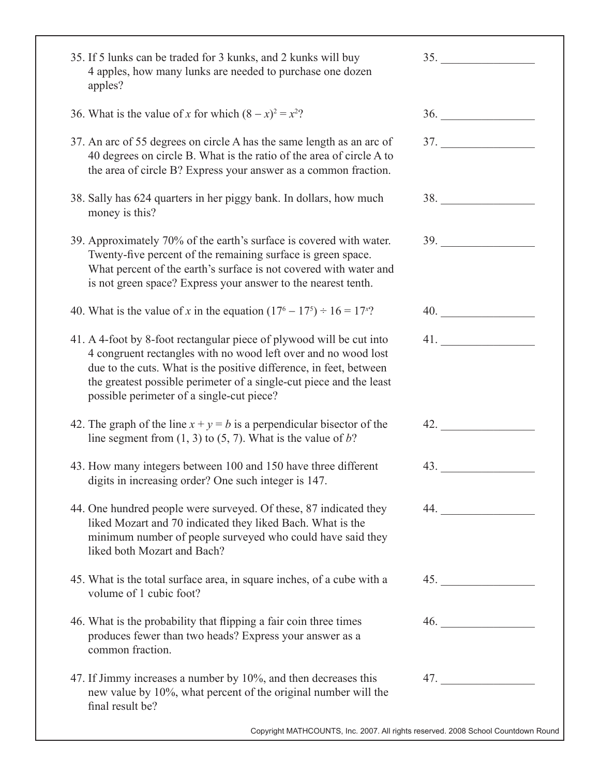| 35. If 5 lunks can be traded for 3 kunks, and 2 kunks will buy<br>4 apples, how many lunks are needed to purchase one dozen<br>apples?                                                                                                                                                                                           | 35. |
|----------------------------------------------------------------------------------------------------------------------------------------------------------------------------------------------------------------------------------------------------------------------------------------------------------------------------------|-----|
| 36. What is the value of x for which $(8 - x)^2 = x^2$ ?                                                                                                                                                                                                                                                                         | 36. |
| 37. An arc of 55 degrees on circle A has the same length as an arc of<br>40 degrees on circle B. What is the ratio of the area of circle A to<br>the area of circle B? Express your answer as a common fraction.                                                                                                                 | 37. |
| 38. Sally has 624 quarters in her piggy bank. In dollars, how much<br>money is this?                                                                                                                                                                                                                                             | 38. |
| 39. Approximately 70% of the earth's surface is covered with water.<br>Twenty-five percent of the remaining surface is green space.<br>What percent of the earth's surface is not covered with water and<br>is not green space? Express your answer to the nearest tenth.                                                        | 39. |
| 40. What is the value of x in the equation $(17^6 - 17^5) \div 16 = 17^x$ ?                                                                                                                                                                                                                                                      | 40. |
| 41. A 4-foot by 8-foot rectangular piece of plywood will be cut into<br>4 congruent rectangles with no wood left over and no wood lost<br>due to the cuts. What is the positive difference, in feet, between<br>the greatest possible perimeter of a single-cut piece and the least<br>possible perimeter of a single-cut piece? | 41. |
| 42. The graph of the line $x + y = b$ is a perpendicular bisector of the<br>line segment from $(1, 3)$ to $(5, 7)$ . What is the value of b?                                                                                                                                                                                     | 42. |
| 43. How many integers between 100 and 150 have three different<br>digits in increasing order? One such integer is 147.                                                                                                                                                                                                           | 43. |
| 44. One hundred people were surveyed. Of these, 87 indicated they<br>liked Mozart and 70 indicated they liked Bach. What is the<br>minimum number of people surveyed who could have said they<br>liked both Mozart and Bach?                                                                                                     | 44. |
| 45. What is the total surface area, in square inches, of a cube with a<br>volume of 1 cubic foot?                                                                                                                                                                                                                                | 45. |
| 46. What is the probability that flipping a fair coin three times<br>produces fewer than two heads? Express your answer as a<br>common fraction.                                                                                                                                                                                 | 46. |
| 47. If Jimmy increases a number by 10%, and then decreases this<br>new value by 10%, what percent of the original number will the<br>final result be?                                                                                                                                                                            | 47. |
| Copyright MATHCOUNTS, Inc. 2007. All rights reserved. 2008 School Countdown Round                                                                                                                                                                                                                                                |     |